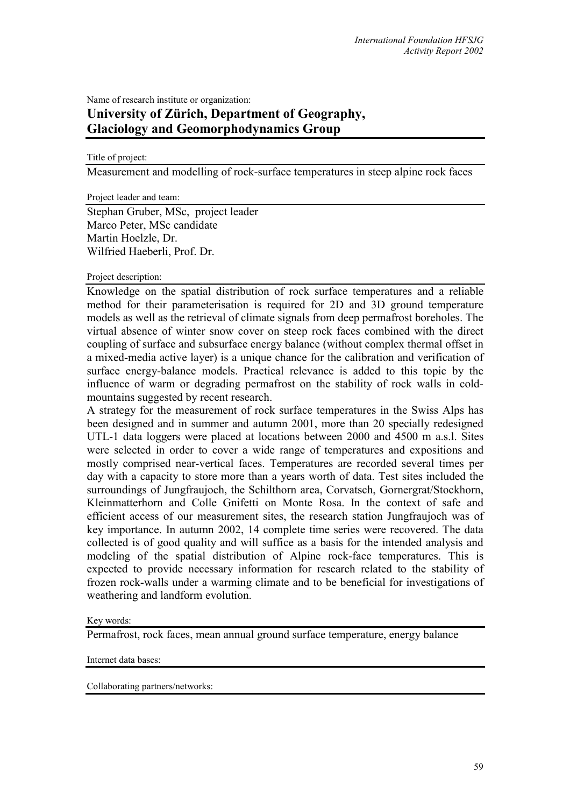# Name of research institute or organization: **University of Zürich, Department of Geography, Glaciology and Geomorphodynamics Group**

#### Title of project:

Measurement and modelling of rock-surface temperatures in steep alpine rock faces

Project leader and team:

Stephan Gruber, MSc, project leader Marco Peter, MSc candidate Martin Hoelzle, Dr. Wilfried Haeberli, Prof. Dr.

# Project description:

Knowledge on the spatial distribution of rock surface temperatures and a reliable method for their parameterisation is required for 2D and 3D ground temperature models as well as the retrieval of climate signals from deep permafrost boreholes. The virtual absence of winter snow cover on steep rock faces combined with the direct coupling of surface and subsurface energy balance (without complex thermal offset in a mixed-media active layer) is a unique chance for the calibration and verification of surface energy-balance models. Practical relevance is added to this topic by the influence of warm or degrading permafrost on the stability of rock walls in coldmountains suggested by recent research.

A strategy for the measurement of rock surface temperatures in the Swiss Alps has been designed and in summer and autumn 2001, more than 20 specially redesigned UTL-1 data loggers were placed at locations between 2000 and 4500 m a.s.l. Sites were selected in order to cover a wide range of temperatures and expositions and mostly comprised near-vertical faces. Temperatures are recorded several times per day with a capacity to store more than a years worth of data. Test sites included the surroundings of Jungfraujoch, the Schilthorn area, Corvatsch, Gornergrat/Stockhorn, Kleinmatterhorn and Colle Gnifetti on Monte Rosa. In the context of safe and efficient access of our measurement sites, the research station Jungfraujoch was of key importance. In autumn 2002, 14 complete time series were recovered. The data collected is of good quality and will suffice as a basis for the intended analysis and modeling of the spatial distribution of Alpine rock-face temperatures. This is expected to provide necessary information for research related to the stability of frozen rock-walls under a warming climate and to be beneficial for investigations of weathering and landform evolution.

## Key words:

Permafrost, rock faces, mean annual ground surface temperature, energy balance

Internet data bases:

Collaborating partners/networks: